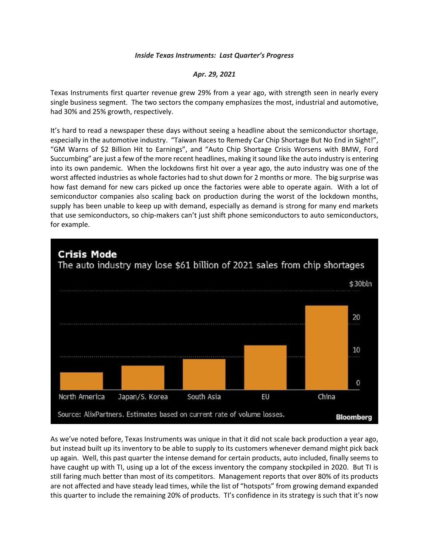## *Inside Texas Instruments: Last Quarter's Progress*

## *Apr. 29, 2021*

Texas Instruments first quarter revenue grew 29% from a year ago, with strength seen in nearly every single business segment. The two sectors the company emphasizes the most, industrial and automotive, had 30% and 25% growth, respectively.

It's hard to read a newspaper these days without seeing a headline about the semiconductor shortage, especially in the automotive industry. "Taiwan Races to Remedy Car Chip Shortage But No End in Sight!", "GM Warns of \$2 Billion Hit to Earnings", and "Auto Chip Shortage Crisis Worsens with BMW, Ford Succumbing" are just a few of the more recent headlines, making it sound like the auto industry is entering into its own pandemic. When the lockdowns first hit over a year ago, the auto industry was one of the worst affected industries as whole factories had to shut down for 2 months or more. The big surprise was how fast demand for new cars picked up once the factories were able to operate again. With a lot of semiconductor companies also scaling back on production during the worst of the lockdown months, supply has been unable to keep up with demand, especially as demand is strong for many end markets that use semiconductors, so chip-makers can't just shift phone semiconductors to auto semiconductors, for example.



As we've noted before, Texas Instruments was unique in that it did not scale back production a year ago, but instead built up its inventory to be able to supply to its customers whenever demand might pick back up again. Well, this past quarter the intense demand for certain products, auto included, finally seems to have caught up with TI, using up a lot of the excess inventory the company stockpiled in 2020. But TI is still faring much better than most of its competitors. Management reports that over 80% of its products are not affected and have steady lead times, while the list of "hotspots" from growing demand expanded this quarter to include the remaining 20% of products. TI's confidence in its strategy is such that it's now